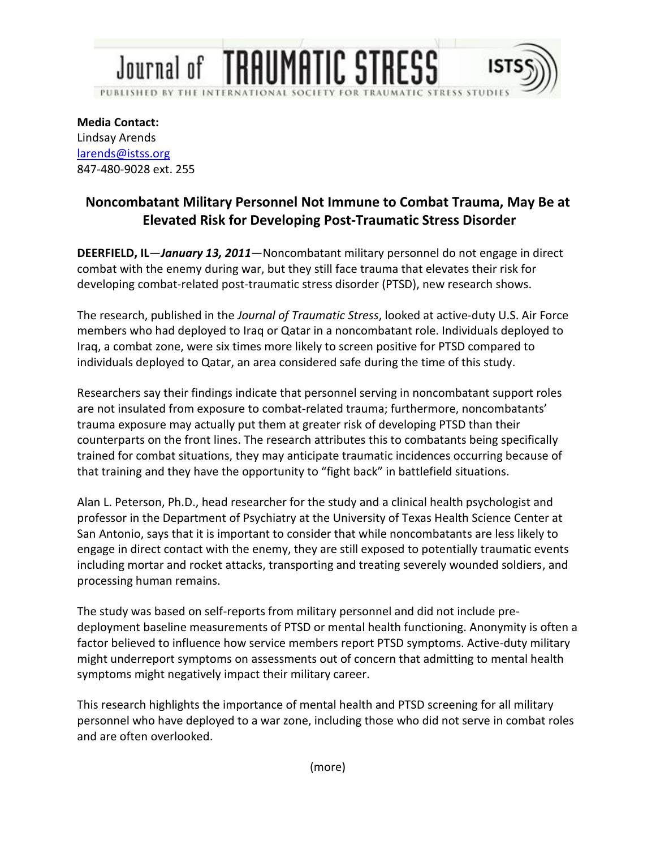

**Media Contact:**  Lindsay Arends larends@istss.org 847-480-9028 ext. 255

## **Noncombatant Military Personnel Not Immune to Combat Trauma, May Be at Elevated Risk for Developing Post-Traumatic Stress Disorder**

**DEERFIELD, IL**—*January 13, 2011*—Noncombatant military personnel do not engage in direct combat with the enemy during war, but they still face trauma that elevates their risk for developing combat-related post-traumatic stress disorder (PTSD), new research shows.

The research, published in the *Journal of Traumatic Stress*, looked at active-duty U.S. Air Force members who had deployed to Iraq or Qatar in a noncombatant role. Individuals deployed to Iraq, a combat zone, were six times more likely to screen positive for PTSD compared to individuals deployed to Qatar, an area considered safe during the time of this study.

Researchers say their findings indicate that personnel serving in noncombatant support roles are not insulated from exposure to combat-related trauma; furthermore, noncombatants' trauma exposure may actually put them at greater risk of developing PTSD than their counterparts on the front lines. The research attributes this to combatants being specifically trained for combat situations, they may anticipate traumatic incidences occurring because of that training and they have the opportunity to "fight back" in battlefield situations.

Alan L. Peterson, Ph.D., head researcher for the study and a clinical health psychologist and professor in the Department of Psychiatry at the University of Texas Health Science Center at San Antonio, says that it is important to consider that while noncombatants are less likely to engage in direct contact with the enemy, they are still exposed to potentially traumatic events including mortar and rocket attacks, transporting and treating severely wounded soldiers, and processing human remains.

The study was based on self-reports from military personnel and did not include predeployment baseline measurements of PTSD or mental health functioning. Anonymity is often a factor believed to influence how service members report PTSD symptoms. Active-duty military might underreport symptoms on assessments out of concern that admitting to mental health symptoms might negatively impact their military career.

This research highlights the importance of mental health and PTSD screening for all military personnel who have deployed to a war zone, including those who did not serve in combat roles and are often overlooked.